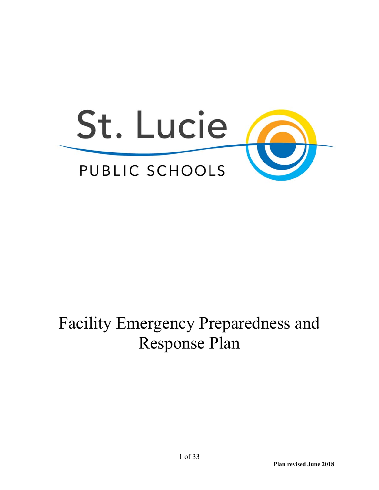

## Facility Emergency Preparedness and Response Plan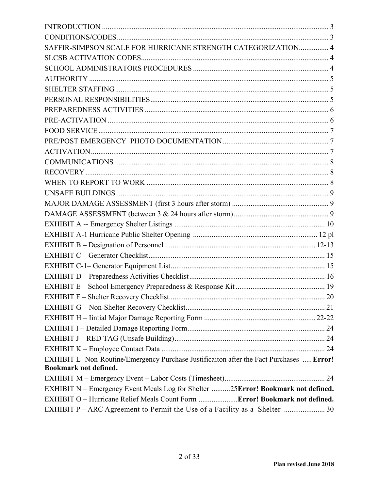| SAFFIR-SIMPSON SCALE FOR HURRICANE STRENGTH CATEGORIZATION 4                             |  |
|------------------------------------------------------------------------------------------|--|
|                                                                                          |  |
|                                                                                          |  |
|                                                                                          |  |
|                                                                                          |  |
|                                                                                          |  |
|                                                                                          |  |
|                                                                                          |  |
|                                                                                          |  |
|                                                                                          |  |
|                                                                                          |  |
|                                                                                          |  |
|                                                                                          |  |
|                                                                                          |  |
|                                                                                          |  |
|                                                                                          |  |
|                                                                                          |  |
|                                                                                          |  |
|                                                                                          |  |
|                                                                                          |  |
|                                                                                          |  |
|                                                                                          |  |
|                                                                                          |  |
|                                                                                          |  |
|                                                                                          |  |
|                                                                                          |  |
|                                                                                          |  |
|                                                                                          |  |
|                                                                                          |  |
|                                                                                          |  |
| EXHIBIT L- Non-Routine/Emergency Purchase Justificaiton after the Fact Purchases  Error! |  |
| <b>Bookmark not defined.</b>                                                             |  |
|                                                                                          |  |
| EXHIBIT N - Emergency Event Meals Log for Shelter 25Error! Bookmark not defined.         |  |
| EXHIBIT O - Hurricane Relief Meals Count Form  Error! Bookmark not defined.              |  |
| EXHIBIT P - ARC Agreement to Permit the Use of a Facility as a Shelter  30               |  |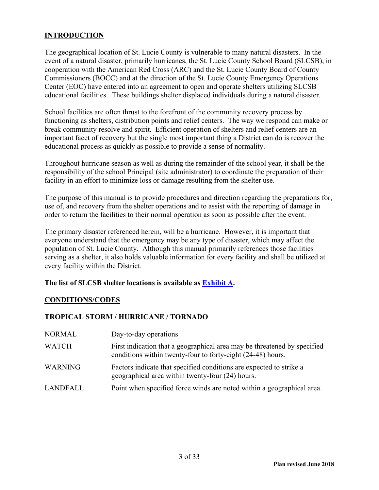#### **INTRODUCTION**

The geographical location of St. Lucie County is vulnerable to many natural disasters. In the event of a natural disaster, primarily hurricanes, the St. Lucie County School Board (SLCSB), in cooperation with the American Red Cross (ARC) and the St. Lucie County Board of County Commissioners (BOCC) and at the direction of the St. Lucie County Emergency Operations Center (EOC) have entered into an agreement to open and operate shelters utilizing SLCSB educational facilities. These buildings shelter displaced individuals during a natural disaster.

School facilities are often thrust to the forefront of the community recovery process by functioning as shelters, distribution points and relief centers. The way we respond can make or break community resolve and spirit. Efficient operation of shelters and relief centers are an important facet of recovery but the single most important thing a District can do is recover the educational process as quickly as possible to provide a sense of normality.

Throughout hurricane season as well as during the remainder of the school year, it shall be the responsibility of the school Principal (site administrator) to coordinate the preparation of their facility in an effort to minimize loss or damage resulting from the shelter use.

The purpose of this manual is to provide procedures and direction regarding the preparations for, use of, and recovery from the shelter operations and to assist with the reporting of damage in order to return the facilities to their normal operation as soon as possible after the event.

The primary disaster referenced herein, will be a hurricane. However, it is important that everyone understand that the emergency may be any type of disaster, which may affect the population of St. Lucie County. Although this manual primarily references those facilities serving as a shelter, it also holds valuable information for every facility and shall be utilized at every facility within the District.

#### **The list of SLCSB shelter locations is available as Exhibit A.**

#### **CONDITIONS/CODES**

#### **TROPICAL STORM / HURRICANE / TORNADO**

| NORMAL         | Day-to-day operations                                                                                                                   |
|----------------|-----------------------------------------------------------------------------------------------------------------------------------------|
| <b>WATCH</b>   | First indication that a geographical area may be threatened by specified<br>conditions within twenty-four to forty-eight (24-48) hours. |
| <b>WARNING</b> | Factors indicate that specified conditions are expected to strike a<br>geographical area within twenty-four (24) hours.                 |
| LANDFALL       | Point when specified force winds are noted within a geographical area.                                                                  |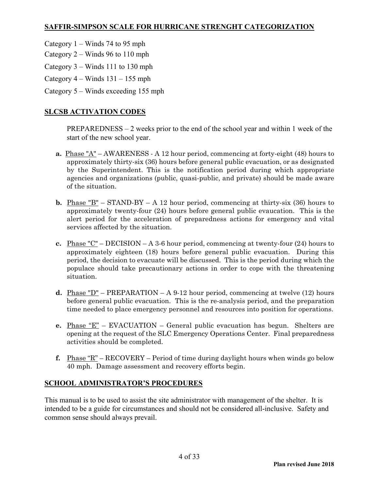#### **SAFFIR-SIMPSON SCALE FOR HURRICANE STRENGHT CATEGORIZATION**

- Category 1 Winds 74 to 95 mph
- Category 2 Winds 96 to 110 mph
- Category 3 Winds 111 to 130 mph
- Category  $4 -$  Winds  $131 155$  mph
- Category 5 Winds exceeding 155 mph

#### **SLCSB ACTIVATION CODES**

 PREPAREDNESS – 2 weeks prior to the end of the school year and within 1 week of the start of the new school year.

- **a.** Phase "A" AWARENESS A 12 hour period, commencing at forty-eight (48) hours to approximately thirty-six (36) hours before general public evacuation, or as designated by the Superintendent. This is the notification period during which appropriate agencies and organizations (public, quasi-public, and private) should be made aware of the situation.
- **b.** <u>Phase "B"</u> STAND-BY A 12 hour period, commencing at thirty-six (36) hours to approximately twenty-four (24) hours before general public evaucation. This is the alert period for the acceleration of preparedness actions for emergency and vital services affected by the situation.
- **c.** Phase "C" DECISION A 3-6 hour period, commencing at twenty-four (24) hours to approximately eighteen (18) hours before general public evacuation. During this period, the decision to evacuate will be discussed. This is the period during which the populace should take precautionary actions in order to cope with the threatening situation.
- **d.** Phase "D" PREPARATION A 9-12 hour period, commencing at twelve (12) hours before general public evacuation. This is the re-analysis period, and the preparation time needed to place emergency personnel and resources into position for operations.
- **e.** Phase "E" EVACUATION General public evacuation has begun. Shelters are opening at the request of the SLC Emergency Operations Center. Final preparedness activities should be completed.
- **f.** Phase "R" RECOVERY Period of time during daylight hours when winds go below 40 mph. Damage assessment and recovery efforts begin.

#### **SCHOOL ADMINISTRATOR'S PROCEDURES**

This manual is to be used to assist the site administrator with management of the shelter. It is intended to be a guide for circumstances and should not be considered all-inclusive. Safety and common sense should always prevail.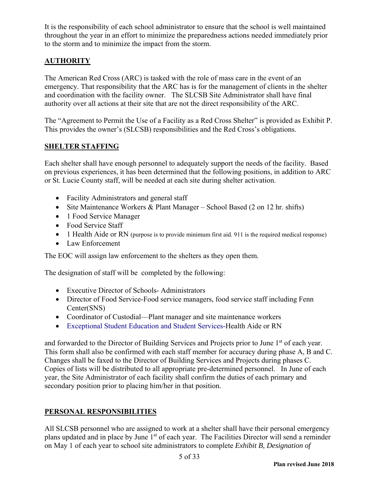It is the responsibility of each school administrator to ensure that the school is well maintained throughout the year in an effort to minimize the preparedness actions needed immediately prior to the storm and to minimize the impact from the storm.

#### **AUTHORITY**

The American Red Cross (ARC) is tasked with the role of mass care in the event of an emergency. That responsibility that the ARC has is for the management of clients in the shelter and coordination with the facility owner. The SLCSB Site Administrator shall have final authority over all actions at their site that are not the direct responsibility of the ARC.

The "Agreement to Permit the Use of a Facility as a Red Cross Shelter" is provided as Exhibit P. This provides the owner's (SLCSB) responsibilities and the Red Cross's obligations.

#### **SHELTER STAFFING**

Each shelter shall have enough personnel to adequately support the needs of the facility. Based on previous experiences, it has been determined that the following positions, in addition to ARC or St. Lucie County staff, will be needed at each site during shelter activation.

- Facility Administrators and general staff
- Site Maintenance Workers & Plant Manager School Based (2 on 12 hr. shifts)
- 1 Food Service Manager
- Food Service Staff
- 1 Health Aide or RN (purpose is to provide minimum first aid. 911 is the required medical response)
- Law Enforcement

The EOC will assign law enforcement to the shelters as they open them.

The designation of staff will be completed by the following:

- Executive Director of Schools- Administrators
- Director of Food Service-Food service managers, food service staff including Fenn Center(SNS)
- Coordinator of Custodial—Plant manager and site maintenance workers
- Exceptional Student Education and Student Services-Health Aide or RN

and forwarded to the Director of Building Services and Projects prior to June 1<sup>st</sup> of each year. This form shall also be confirmed with each staff member for accuracy during phase A, B and C. Changes shall be faxed to the Director of Building Services and Projects during phases C. Copies of lists will be distributed to all appropriate pre-determined personnel. In June of each year, the Site Administrator of each facility shall confirm the duties of each primary and secondary position prior to placing him/her in that position.

#### **PERSONAL RESPONSIBILITIES**

All SLCSB personnel who are assigned to work at a shelter shall have their personal emergency plans updated and in place by June 1<sup>st</sup> of each year. The Facilities Director will send a reminder on May 1 of each year to school site administrators to complete *Exhibit B, Designation of*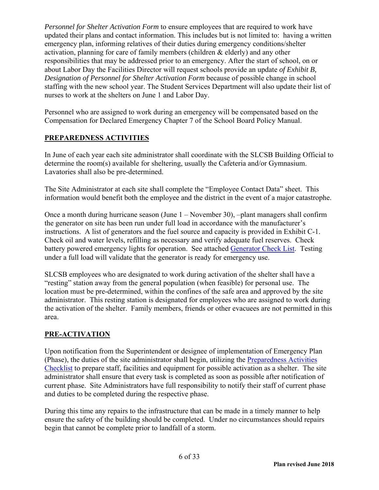*Personnel for Shelter Activation Form* to ensure employees that are required to work have updated their plans and contact information. This includes but is not limited to: having a written emergency plan, informing relatives of their duties during emergency conditions/shelter activation, planning for care of family members (children & elderly) and any other responsibilities that may be addressed prior to an emergency. After the start of school, on or about Labor Day the Facilities Director will request schools provide an update *of Exhibit B, Designation of Personnel for Shelter Activation Form* because of possible change in school staffing with the new school year. The Student Services Department will also update their list of nurses to work at the shelters on June 1 and Labor Day.

Personnel who are assigned to work during an emergency will be compensated based on the Compensation for Declared Emergency Chapter 7 of the School Board Policy Manual.

#### **PREPAREDNESS ACTIVITIES**

In June of each year each site administrator shall coordinate with the SLCSB Building Official to determine the room(s) available for sheltering, usually the Cafeteria and/or Gymnasium. Lavatories shall also be pre-determined.

The Site Administrator at each site shall complete the "Employee Contact Data" sheet. This information would benefit both the employee and the district in the event of a major catastrophe.

Once a month during hurricane season (June 1 – November 30), –plant managers shall confirm the generator on site has been run under full load in accordance with the manufacturer's instructions. A list of generators and the fuel source and capacity is provided in Exhibit C-1. Check oil and water levels, refilling as necessary and verify adequate fuel reserves. Check battery powered emergency lights for operation. See attached Generator Check List. Testing under a full load will validate that the generator is ready for emergency use.

SLCSB employees who are designated to work during activation of the shelter shall have a "resting" station away from the general population (when feasible) for personal use. The location must be pre-determined, within the confines of the safe area and approved by the site administrator. This resting station is designated for employees who are assigned to work during the activation of the shelter. Family members, friends or other evacuees are not permitted in this area.

#### **PRE-ACTIVATION**

Upon notification from the Superintendent or designee of implementation of Emergency Plan (Phase), the duties of the site administrator shall begin, utilizing the Preparedness Activities Checklist to prepare staff, facilities and equipment for possible activation as a shelter. The site administrator shall ensure that every task is completed as soon as possible after notification of current phase. Site Administrators have full responsibility to notify their staff of current phase and duties to be completed during the respective phase.

During this time any repairs to the infrastructure that can be made in a timely manner to help ensure the safety of the building should be completed. Under no circumstances should repairs begin that cannot be complete prior to landfall of a storm.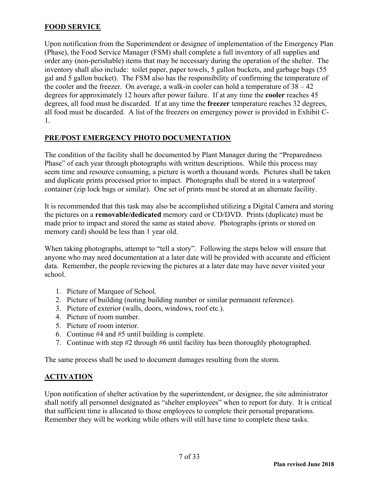#### **FOOD SERVICE**

Upon notification from the Superintendent or designee of implementation of the Emergency Plan (Phase), the Food Service Manager (FSM) shall complete a full inventory of all supplies and order any (non-perishable) items that may be necessary during the operation of the shelter. The inventory shall also include: toilet paper, paper towels, 5 gallon buckets, and garbage bags (55 gal and 5 gallon bucket). The FSM also has the responsibility of confirming the temperature of the cooler and the freezer. On average, a walk-in cooler can hold a temperature of  $38 - 42$ degrees for approximately 12 hours after power failure. If at any time the **cooler** reaches 45 degrees, all food must be discarded. If at any time the **freezer** temperature reaches 32 degrees, all food must be discarded. A list of the freezers on emergency power is provided in Exhibit C-1.

#### **PRE/POST EMERGENCY PHOTO DOCUMENTATION**

The condition of the facility shall be documented by Plant Manager during the "Preparedness Phase" of each year through photographs with written descriptions. While this process may seem time and resource consuming, a picture is worth a thousand words. Pictures shall be taken and duplicate prints processed prior to impact. Photographs shall be stored in a waterproof container (zip lock bags or similar). One set of prints must be stored at an alternate facility.

It is recommended that this task may also be accomplished utilizing a Digital Camera and storing the pictures on a **removable/dedicated** memory card or CD/DVD. Prints (duplicate) must be made prior to impact and stored the same as stated above. Photographs (prints or stored on memory card) should be less than 1 year old.

When taking photographs, attempt to "tell a story". Following the steps below will ensure that anyone who may need documentation at a later date will be provided with accurate and efficient data. Remember, the people reviewing the pictures at a later date may have never visited your school.

- 1. Picture of Marquee of School.
- 2. Picture of building (noting building number or similar permanent reference).
- 3. Picture of exterior (walls, doors, windows, roof etc.).
- 4. Picture of room number.
- 5. Picture of room interior.
- 6. Continue #4 and #5 until building is complete.
- 7. Continue with step #2 through #6 until facility has been thoroughly photographed.

The same process shall be used to document damages resulting from the storm.

#### **ACTIVATION**

Upon notification of shelter activation by the superintendent, or designee, the site administrator shall notify all personnel designated as "shelter employees" when to report for duty. It is critical that sufficient time is allocated to those employees to complete their personal preparations. Remember they will be working while others will still have time to complete these tasks.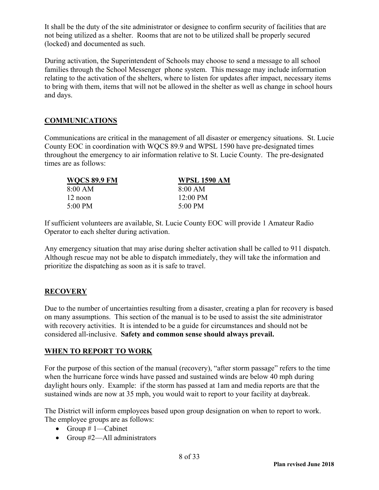It shall be the duty of the site administrator or designee to confirm security of facilities that are not being utilized as a shelter. Rooms that are not to be utilized shall be properly secured (locked) and documented as such.

During activation, the Superintendent of Schools may choose to send a message to all school families through the School Messenger phone system. This message may include information relating to the activation of the shelters, where to listen for updates after impact, necessary items to bring with them, items that will not be allowed in the shelter as well as change in school hours and days.

#### **COMMUNICATIONS**

Communications are critical in the management of all disaster or emergency situations. St. Lucie County EOC in coordination with WQCS 89.9 and WPSL 1590 have pre-designated times throughout the emergency to air information relative to St. Lucie County. The pre-designated times are as follows:

| <b>WQCS 89.9 FM</b> | <b>WPSL 1590 AM</b> |
|---------------------|---------------------|
| 8:00 AM             | 8:00 AM             |
| 12 noon             | $12:00 \text{ PM}$  |
| 5:00 PM             | $5:00 \text{ PM}$   |

If sufficient volunteers are available, St. Lucie County EOC will provide 1 Amateur Radio Operator to each shelter during activation.

Any emergency situation that may arise during shelter activation shall be called to 911 dispatch. Although rescue may not be able to dispatch immediately, they will take the information and prioritize the dispatching as soon as it is safe to travel.

#### **RECOVERY**

Due to the number of uncertainties resulting from a disaster, creating a plan for recovery is based on many assumptions. This section of the manual is to be used to assist the site administrator with recovery activities. It is intended to be a guide for circumstances and should not be considered all-inclusive. **Safety and common sense should always prevail.**

#### **WHEN TO REPORT TO WORK**

For the purpose of this section of the manual (recovery), "after storm passage" refers to the time when the hurricane force winds have passed and sustained winds are below 40 mph during daylight hours only. Example: if the storm has passed at 1am and media reports are that the sustained winds are now at 35 mph, you would wait to report to your facility at daybreak.

The District will inform employees based upon group designation on when to report to work. The employee groups are as follows:

- Group  $# 1$ —Cabinet
- Group #2—All administrators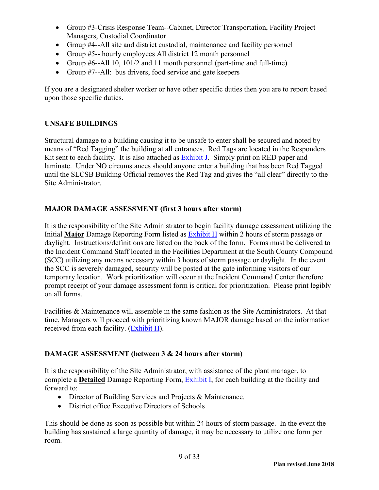- Group #3-Crisis Response Team--Cabinet, Director Transportation, Facility Project Managers, Custodial Coordinator
- Group #4--All site and district custodial, maintenance and facility personnel
- Group #5-- hourly employees All district 12 month personnel
- Group  $#6$ --All 10, 101/2 and 11 month personnel (part-time and full-time)
- Group #7--All: bus drivers, food service and gate keepers

If you are a designated shelter worker or have other specific duties then you are to report based upon those specific duties.

#### **UNSAFE BUILDINGS**

Structural damage to a building causing it to be unsafe to enter shall be secured and noted by means of "Red Tagging" the building at all entrances. Red Tags are located in the Responders Kit sent to each facility. It is also attached as Exhibit J. Simply print on RED paper and laminate. Under NO circumstances should anyone enter a building that has been Red Tagged until the SLCSB Building Official removes the Red Tag and gives the "all clear" directly to the Site Administrator.

#### **MAJOR DAMAGE ASSESSMENT (first 3 hours after storm)**

It is the responsibility of the Site Administrator to begin facility damage assessment utilizing the Initial **Major** Damage Reporting Form listed as Exhibit H within 2 hours of storm passage or daylight. Instructions/definitions are listed on the back of the form. Forms must be delivered to the Incident Command Staff located in the Facilities Department at the South County Compound (SCC) utilizing any means necessary within 3 hours of storm passage or daylight. In the event the SCC is severely damaged, security will be posted at the gate informing visitors of our temporary location. Work prioritization will occur at the Incident Command Center therefore prompt receipt of your damage assessment form is critical for prioritization. Please print legibly on all forms.

Facilities & Maintenance will assemble in the same fashion as the Site Administrators. At that time, Managers will proceed with prioritizing known MAJOR damage based on the information received from each facility. (Exhibit H).

#### **DAMAGE ASSESSMENT (between 3 & 24 hours after storm)**

It is the responsibility of the Site Administrator, with assistance of the plant manager, to complete a **Detailed** Damage Reporting Form, Exhibit I, for each building at the facility and forward to:

- Director of Building Services and Projects & Maintenance.
- District office Executive Directors of Schools

This should be done as soon as possible but within 24 hours of storm passage. In the event the building has sustained a large quantity of damage, it may be necessary to utilize one form per room.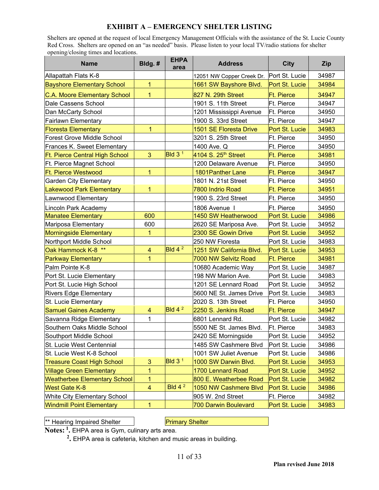#### **EXHIBIT A – EMERGENCY SHELTER LISTING**

Shelters are opened at the request of local Emergency Management Officials with the assistance of the St. Lucie County Red Cross. Shelters are opened on an "as needed" basis. Please listen to your local TV/radio stations for shelter opening/closing times and locations.

| <b>Name</b>                           | Bldg.#                  | <b>EHPA</b><br>area | <b>Address</b>              | <b>City</b>       | <b>Zip</b> |
|---------------------------------------|-------------------------|---------------------|-----------------------------|-------------------|------------|
| Allapattah Flats K-8                  |                         |                     | 12051 NW Copper Creek Dr.   | Port St. Lucie    | 34987      |
| <b>Bayshore Elementary School</b>     | $\mathbf{1}$            |                     | 1661 SW Bayshore Blvd.      | Port St. Lucie    | 34984      |
| <b>C.A. Moore Elementary School</b>   | 1                       |                     | 827 N. 29th Street          | <b>Ft. Pierce</b> | 34947      |
| Dale Cassens School                   |                         |                     | 1901 S. 11th Street         | <b>Ft. Pierce</b> | 34947      |
| Dan McCarty School                    |                         |                     | 1201 Mississippi Avenue     | Ft. Pierce        | 34950      |
| <b>Fairlawn Elementary</b>            |                         |                     | 1900 S. 33rd Street         | Ft. Pierce        | 34947      |
| <b>Floresta Elementary</b>            | 1                       |                     | 1501 SE Floresta Drive      | Port St. Lucie    | 34983      |
| <b>Forest Grove Middle School</b>     |                         |                     | 3201 S. 25th Street         | Ft. Pierce        | 34950      |
| Frances K. Sweet Elementary           |                         |                     | 1400 Ave. Q                 | Ft. Pierce        | 34950      |
| <b>Ft. Pierce Central High School</b> | 3                       | Bld $31$            | 4104 S. 25th Street         | <b>Ft. Pierce</b> | 34981      |
| Ft. Pierce Magnet School              |                         |                     | 1200 Delaware Avenue        | Ft. Pierce        | 34950      |
| <b>Ft. Pierce Westwood</b>            | $\mathbf{1}$            |                     | 1801 Panther Lane           | <b>Ft. Pierce</b> | 34947      |
| <b>Garden City Elementary</b>         |                         |                     | 1801 N. 21st Street         | Ft. Pierce        | 34950      |
| <b>Lakewood Park Elementary</b>       | $\mathbf{1}$            |                     | 7800 Indrio Road            | <b>Ft. Pierce</b> | 34951      |
| Lawnwood Elementary                   |                         |                     | 1900 S. 23rd Street         | Ft. Pierce        | 34950      |
| Lincoln Park Academy                  |                         |                     | 1806 Avenue I               | Ft. Pierce        | 34950      |
| <b>Manatee Elementary</b>             | 600                     |                     | 1450 SW Heatherwood         | Port St. Lucie    | 34986      |
| Mariposa Elementary                   | 600                     |                     | 2620 SE Mariposa Ave.       | Port St. Lucie    | 34952      |
| <b>Morningside Elementary</b>         | 1                       |                     | 2300 SE Gowin Drive         | Port St. Lucie    | 34952      |
| Northport Middle School               |                         |                     | 250 NW Floresta             | Port St. Lucie    | 34983      |
| Oak Hammock K-8 **                    | $\overline{\mathbf{4}}$ | Bld $42$            | 1251 SW California Blvd.    | Port St. Lucie    | 34953      |
| <b>Parkway Elementary</b>             | $\mathbf{1}$            |                     | 7000 NW Selvitz Road        | <b>Ft. Pierce</b> | 34981      |
| Palm Pointe K-8                       |                         |                     | 10680 Academic Way          | Port St. Lucie    | 34987      |
| Port St. Lucie Elementary             |                         |                     | 198 NW Marion Ave.          | Port St. Lucie    | 34983      |
| Port St. Lucie High School            |                         |                     | 1201 SE Lennard Road        | Port St. Lucie    | 34952      |
| <b>Rivers Edge Elementary</b>         |                         |                     | 5600 NE St. James Drive     | Port St. Lucie    | 34983      |
| St. Lucie Elementary                  |                         |                     | 2020 S. 13th Street         | Ft. Pierce        | 34950      |
| <b>Samuel Gaines Academy</b>          | 4                       | Bld $42$            | 2250 S. Jenkins Road        | <b>Ft. Pierce</b> | 34947      |
| Savanna Ridge Elementary              | 1                       |                     | 6801 Lennard Rd.            | Port St. Lucie    | 34982      |
| Southern Oaks Middle School           |                         |                     | 5500 NE St. James Blvd.     | Ft. Pierce        | 34983      |
| Southport Middle School               |                         |                     | 2420 SE Morningside         | Port St. Lucie    | 34952      |
| St. Lucie West Centennial             |                         |                     | 1485 SW Cashmere Blvd       | Port St. Lucie    | 34986      |
| St. Lucie West K-8 School             |                         |                     | 1001 SW Juliet Avenue       | Port St. Lucie    | 34986      |
| <b>Treasure Coast High School</b>     | 3                       | Bld $31$            | 1000 SW Darwin Blvd.        | Port St. Lucie    | 34953      |
| <b>Village Green Elementary</b>       | 1                       |                     | 1700 Lennard Road           | Port St. Lucie    | 34952      |
| <b>Weatherbee Elementary School</b>   | $\mathbf{1}$            |                     | 800 E. Weatherbee Road      | Port St. Lucie    | 34982      |
| <b>West Gate K-8</b>                  | $\overline{\mathbf{4}}$ | Bld $4^2$           | 1050 NW Cashmere Blvd       | Port St. Lucie    | 34986      |
| White City Elementary School          |                         |                     | 905 W. 2nd Street           | Ft. Pierce        | 34982      |
| <b>Windmill Point Elementary</b>      | 1                       |                     | <b>700 Darwin Boulevard</b> | Port St. Lucie    | 34983      |

\*\* Hearing Impaired Shelter Primary Shelter

**Notes: 1.** EHPA area is Gym, culinary arts area.

**2 .** EHPA area is cafeteria, kitchen and music areas in building.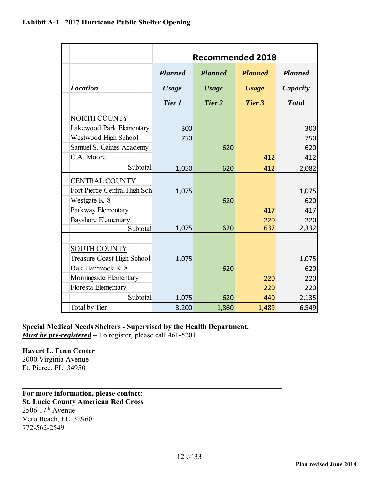|                                   | <b>Recommended 2018</b> |                |                |                |
|-----------------------------------|-------------------------|----------------|----------------|----------------|
|                                   | <b>Planned</b>          | <b>Planned</b> | <b>Planned</b> | <b>Planned</b> |
| <b>Location</b>                   | <b>Usage</b>            | <b>Usage</b>   | <b>Usage</b>   | Capacity       |
|                                   | Tier 1                  | Tier 2         | Tier 3         | <b>Total</b>   |
| NORTH COUNTY                      |                         |                |                |                |
| Lakewood Park Elementary          | 300                     |                |                | 300            |
| Westwood High School              | 750                     |                |                | 750            |
| Samuel S. Gaines Academy          |                         | 620            |                | 620            |
| C.A. Moore                        |                         |                | 412            | 412            |
| Subtotal                          | 1,050                   | 620            | 412            | 2,082          |
| <b>CENTRAL COUNTY</b>             |                         |                |                |                |
| Fort Pierce Central High Sch      | 1,075                   |                |                | 1,075          |
| Westgate K-8                      |                         | 620            |                | 620            |
| Parkway Elementary                |                         |                | 417            | 417            |
| <b>Bayshore Elementary</b>        |                         |                | 220            | 220            |
| Subtotal                          | 1,075                   | 620            | 637            | 2,332          |
|                                   |                         |                |                |                |
| <b>SOUTH COUNTY</b>               |                         |                |                |                |
| <b>Treasure Coast High School</b> | 1,075                   |                |                | 1,075          |
| Oak Hammock K-8                   |                         | 620            |                | 620            |
| Morningside Elementary            |                         |                | 220            | 220            |
| Floresta Elementary               |                         |                | 220            | 220            |
| Subtotal                          | 1,075                   | 620            | 440            | 2,135          |
| <b>Total by Tier</b>              | 3,200                   | 1,860          | 1,489          | 6,549          |

#### **Special Medical Needs Shelters - Supervised by the Health Department.**  *Must be pre-registered* – To register, please call 461-5201.

#### **Havert L. Fenn Center**

2000 Virginia Avenue Ft. Pierce, FL 34950

**For more information, please contact: St. Lucie County American Red Cross**   $2506$   $17<sup>th</sup>$  Avenue Vero Beach, FL 32960 772-562-2549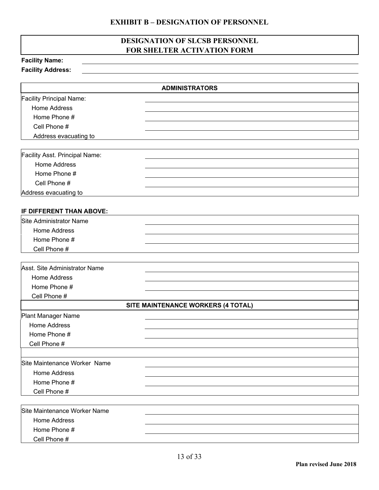#### **EXHIBIT B – DESIGNATION OF PERSONNEL**

#### **DESIGNATION OF SLCSB PERSONNEL FOR SHELTER ACTIVATION FORM**

| <b>Facility Name:</b>           |                                    |
|---------------------------------|------------------------------------|
| <b>Facility Address:</b>        |                                    |
|                                 |                                    |
|                                 | <b>ADMINISTRATORS</b>              |
| <b>Facility Principal Name:</b> |                                    |
| Home Address                    |                                    |
| Home Phone #                    |                                    |
| Cell Phone #                    |                                    |
| Address evacuating to           |                                    |
|                                 |                                    |
| Facility Asst. Principal Name:  |                                    |
| <b>Home Address</b>             |                                    |
| Home Phone #                    |                                    |
| Cell Phone #                    |                                    |
| Address evacuating to           |                                    |
|                                 |                                    |
| IF DIFFERENT THAN ABOVE:        |                                    |
| Site Administrator Name         |                                    |
| <b>Home Address</b>             |                                    |
| Home Phone #                    |                                    |
| Cell Phone #                    |                                    |
|                                 |                                    |
| Asst. Site Administrator Name   |                                    |
| <b>Home Address</b>             |                                    |
| Home Phone #                    |                                    |
| Cell Phone #                    |                                    |
|                                 | SITE MAINTENANCE WORKERS (4 TOTAL) |
| Plant Manager Name              |                                    |
| Home Address                    |                                    |
| Home Phone #                    |                                    |
| Cell Phone #                    |                                    |
|                                 |                                    |
| Site Maintenance Worker Name    |                                    |
| <b>Home Address</b>             |                                    |
| Home Phone #                    |                                    |
| Cell Phone #                    |                                    |
|                                 |                                    |
| Site Maintenance Worker Name    |                                    |
| <b>Home Address</b>             |                                    |
| Home Phone #                    |                                    |
| Cell Phone #                    |                                    |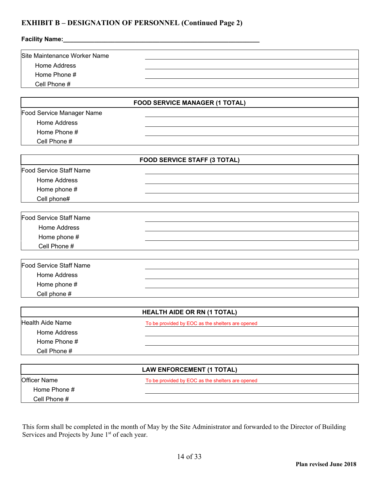#### **EXHIBIT B – DESIGNATION OF PERSONNEL (Continued Page 2)**

| Facility Name:                 |                                                  |  |
|--------------------------------|--------------------------------------------------|--|
| Site Maintenance Worker Name   |                                                  |  |
| <b>Home Address</b>            |                                                  |  |
| Home Phone #                   |                                                  |  |
| Cell Phone #                   |                                                  |  |
|                                |                                                  |  |
|                                | <b>FOOD SERVICE MANAGER (1 TOTAL)</b>            |  |
| Food Service Manager Name      |                                                  |  |
| <b>Home Address</b>            |                                                  |  |
| Home Phone #                   |                                                  |  |
| Cell Phone #                   |                                                  |  |
|                                | <b>FOOD SERVICE STAFF (3 TOTAL)</b>              |  |
| Food Service Staff Name        |                                                  |  |
| Home Address                   |                                                  |  |
| Home phone #                   |                                                  |  |
| Cell phone#                    |                                                  |  |
|                                |                                                  |  |
| <b>Food Service Staff Name</b> |                                                  |  |
| Home Address                   |                                                  |  |
| Home phone #                   |                                                  |  |
| Cell Phone #                   |                                                  |  |
| <b>Food Service Staff Name</b> |                                                  |  |
| <b>Home Address</b>            |                                                  |  |
|                                |                                                  |  |
| Home phone #<br>Cell phone #   |                                                  |  |
|                                |                                                  |  |
|                                | <b>HEALTH AIDE OR RN (1 TOTAL)</b>               |  |
| <b>Health Aide Name</b>        | To be provided by EOC as the shelters are opened |  |
| <b>Home Address</b>            |                                                  |  |
| Home Phone #                   |                                                  |  |
| Cell Phone #                   |                                                  |  |
|                                | <b>LAW ENFORCEMENT (1 TOTAL)</b>                 |  |
| <b>Officer Name</b>            | To be provided by EOC as the shelters are opened |  |
| Home Phone #                   |                                                  |  |

This form shall be completed in the month of May by the Site Administrator and forwarded to the Director of Building Services and Projects by June 1<sup>st</sup> of each year.

Cell Phone #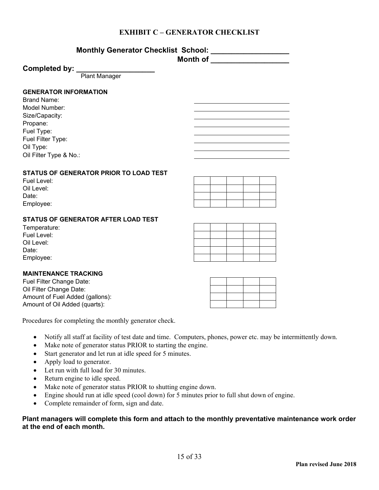#### **EXHIBIT C – GENERATOR CHECKLIST**

| <b>Monthly Generator Checklist School:</b> |  |
|--------------------------------------------|--|
| <b>Month of</b>                            |  |

#### Completed by:

Plant Manager

#### **GENERATOR INFORMATION**

Brand Name: Model Number: Size/Capacity: Propane: Fuel Type: Fuel Filter Type: Oil Type: Oil Filter Type & No.:

#### **STATUS OF GENERATOR PRIOR TO LOAD TEST**

| Fuel Level: |  |  |  |
|-------------|--|--|--|
| Oil Level:  |  |  |  |
| Date:       |  |  |  |
| Employee:   |  |  |  |

#### **STATUS OF GENERATOR AFTER LOAD TEST**

| Temperature: |
|--------------|
| Fuel Level:  |
| Oil Level:   |
| Date:        |
| Employee:    |

#### **MAINTENANCE TRACKING**

Fuel Filter Change Date: Oil Filter Change Date: Amount of Fuel Added (gallons): Amount of Oil Added (quarts):

Procedures for completing the monthly generator check.

- Notify all staff at facility of test date and time. Computers, phones, power etc. may be intermittently down.
- Make note of generator status PRIOR to starting the engine.
- Start generator and let run at idle speed for 5 minutes.
- Apply load to generator.
- Let run with full load for 30 minutes.
- Return engine to idle speed.
- Make note of generator status PRIOR to shutting engine down.
- Engine should run at idle speed (cool down) for 5 minutes prior to full shut down of engine.
- Complete remainder of form, sign and date.

#### **Plant managers will complete this form and attach to the monthly preventative maintenance work order at the end of each month.**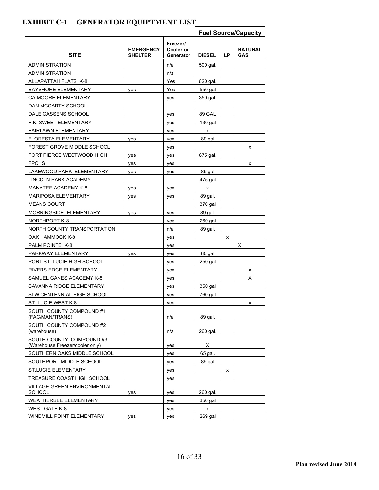|                                                            |                                    |                                    | <b>Fuel Source/Capacity</b> |     |                              |
|------------------------------------------------------------|------------------------------------|------------------------------------|-----------------------------|-----|------------------------------|
| <b>SITE</b>                                                | <b>EMERGENCY</b><br><b>SHELTER</b> | Freezer/<br>Cooler on<br>Generator | <b>DIESEL</b>               | LP. | <b>NATURAL</b><br><b>GAS</b> |
| ADMINISTRATION                                             |                                    | n/a                                | 500 gal.                    |     |                              |
| ADMINISTRATION                                             |                                    | n/a                                |                             |     |                              |
| ALLAPATTAH FLATS K-8                                       |                                    | Yes                                | 620 gal.                    |     |                              |
| <b>BAYSHORE ELEMENTARY</b>                                 | yes                                | Yes                                | 550 gal                     |     |                              |
| CA MOORE ELEMENTARY                                        |                                    | yes                                | 350 gal.                    |     |                              |
| DAN MCCARTY SCHOOL                                         |                                    |                                    |                             |     |                              |
| DALE CASSENS SCHOOL                                        |                                    | yes                                | 89 GAL                      |     |                              |
| <b>F.K. SWEET ELEMENTARY</b>                               |                                    | yes                                | $130$ gal                   |     |                              |
| <b>FAIRLAWN ELEMENTARY</b>                                 |                                    | yes                                | х                           |     |                              |
| <b>FLORESTA ELEMENTARY</b>                                 | yes                                | yes                                | 89 gal                      |     |                              |
| FOREST GROVE MIDDLE SCHOOL                                 |                                    | yes                                |                             |     | х                            |
| FORT PIERCE WESTWOOD HIGH                                  | yes                                | yes                                | 675 gal.                    |     |                              |
| <b>FPCHS</b>                                               | yes                                | yes                                |                             |     | х                            |
| LAKEWOOD PARK ELEMENTARY                                   | yes                                | yes                                | 89 gal                      |     |                              |
| <b>LINCOLN PARK ACADEMY</b>                                |                                    |                                    | 475 gal                     |     |                              |
| MANATEE ACADEMY K-8                                        | yes                                | yes                                | х                           |     |                              |
| MARIPOSA ELEMENTARY                                        | yes                                | yes                                | 89 gal.                     |     |                              |
| <b>MEANS COURT</b>                                         |                                    |                                    | 370 gal                     |     |                              |
| MORNINGSIDE ELEMENTARY                                     | yes                                | yes                                | 89 gal.                     |     |                              |
| <b>NORTHPORT K-8</b>                                       |                                    | yes                                | $260$ gal                   |     |                              |
| NORTH COUNTY TRANSPORTATION                                |                                    | n/a                                | 89 gal.                     |     |                              |
| OAK HAMMOCK K-8                                            |                                    | yes                                |                             | x   |                              |
| PALM POINTE K-8                                            |                                    | yes                                |                             |     | х                            |
| PARKWAY ELEMENTARY                                         | yes                                | yes                                | 80 gal                      |     |                              |
| PORT ST. LUCIE HIGH SCHOOL                                 |                                    | yes                                | 250 gal                     |     |                              |
| RIVERS EDGE ELEMENTARY                                     |                                    | yes                                |                             |     | х                            |
| SAMUEL GANES ACACEMY K-8                                   |                                    | yes                                |                             |     | х                            |
| SAVANNA RIDGE ELEMENTARY                                   |                                    | yes                                | 350 gal                     |     |                              |
| SLW CENTENNIAL HIGH SCHOOL                                 |                                    | yes                                | 760 gal                     |     |                              |
| ST. LUCIE WEST K-8                                         |                                    | yes                                |                             |     | х                            |
| SOUTH COUNTY COMPOUND #1<br>(FAC/MAN/TRANS)                |                                    | n/a                                | 89 gal.                     |     |                              |
| SOUTH COUNTY COMPOUND#2<br>(warehouse)                     |                                    | n/a                                | 260 gal.                    |     |                              |
| SOUTH COUNTY COMPOUND#3<br>(Warehouse Freezer/cooler only) |                                    | yes                                | X                           |     |                              |
| SOUTHERN OAKS MIDDLE SCHOOL                                |                                    | yes                                | 65 gal.                     |     |                              |
| SOUTHPORT MIDDLE SCHOOL                                    |                                    | yes                                | 89 gal                      |     |                              |
| ST.LUCIE ELEMENTARY                                        |                                    | yes                                |                             | x   |                              |
| TREASURE COAST HIGH SCHOOL                                 |                                    | yes                                |                             |     |                              |
| VILLAGE GREEN ENVIRONMENTAL<br><b>SCHOOL</b>               | yes                                | yes                                | 260 gal.                    |     |                              |
| <b>WEATHERBEE ELEMENTARY</b>                               |                                    | yes                                | 350 gal                     |     |                              |
| WEST GATE K-8                                              |                                    | yes                                | x                           |     |                              |
| WINDMILL POINT ELEMENTARY                                  | yes                                | yes                                | 269 gal                     |     |                              |

## **EXHIBIT C-1 – GENERATOR EQUIPTMENT LIST**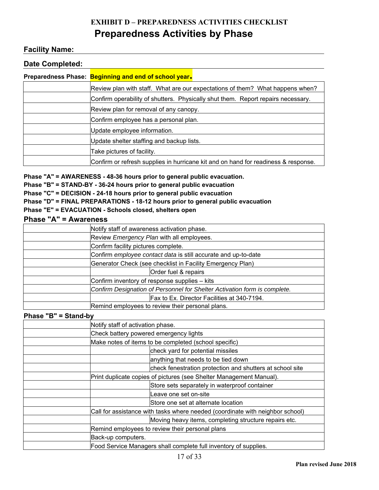## **EXHIBIT D – PREPAREDNESS ACTIVITIES CHECKLIST Preparedness Activities by Phase**

#### **Facility Name:**

#### **Date Completed:**

| Preparedness Phase: Beginning and end of school year.                              |  |  |
|------------------------------------------------------------------------------------|--|--|
| Review plan with staff. What are our expectations of them? What happens when?      |  |  |
| Confirm operability of shutters. Physically shut them. Report repairs necessary.   |  |  |
| Review plan for removal of any canopy.                                             |  |  |
| Confirm employee has a personal plan.                                              |  |  |
| Update employee information.                                                       |  |  |
| Update shelter staffing and backup lists.                                          |  |  |
| Take pictures of facility.                                                         |  |  |
| Confirm or refresh supplies in hurricane kit and on hand for readiness & response. |  |  |

**Phase "A" = AWARENESS - 48-36 hours prior to general public evacuation.** 

**Phase "B" = STAND-BY - 36-24 hours prior to general public evacuation** 

**Phase "C" = DECISION - 24-18 hours prior to general public evacuation** 

**Phase "D" = FINAL PREPARATIONS - 18-12 hours prior to general public evacuation** 

#### **Phase "E" = EVACUATION - Schools closed, shelters open**

| <b>Phase "A" = Awareness</b> |                                                                           |  |  |  |
|------------------------------|---------------------------------------------------------------------------|--|--|--|
|                              | Notify staff of awareness activation phase.                               |  |  |  |
|                              | Review Emergency Plan with all employees.                                 |  |  |  |
|                              | Confirm facility pictures complete.                                       |  |  |  |
|                              | Confirm employee contact data is still accurate and up-to-date            |  |  |  |
|                              | Generator Check (see checklist in Facility Emergency Plan)                |  |  |  |
|                              | Order fuel & repairs                                                      |  |  |  |
|                              | Confirm inventory of response supplies - kits                             |  |  |  |
|                              | Confirm Designation of Personnel for Shelter Activation form is complete. |  |  |  |
|                              | Fax to Ex. Director Facilities at 340-7194.                               |  |  |  |
|                              | Remind employees to review their personal plans.                          |  |  |  |

**Phase "B" = Stand-by** 

| Notify staff of activation phase.                                             |  |  |  |
|-------------------------------------------------------------------------------|--|--|--|
| Check battery powered emergency lights                                        |  |  |  |
| Make notes of items to be completed (school specific)                         |  |  |  |
| check yard for potential missiles                                             |  |  |  |
| anything that needs to be tied down                                           |  |  |  |
| check fenestration protection and shutters at school site                     |  |  |  |
| Print duplicate copies of pictures (see Shelter Management Manual).           |  |  |  |
| Store sets separately in waterproof container                                 |  |  |  |
| Leave one set on-site                                                         |  |  |  |
| Store one set at alternate location                                           |  |  |  |
| Call for assistance with tasks where needed (coordinate with neighbor school) |  |  |  |
| Moving heavy items, completing structure repairs etc.                         |  |  |  |
| Remind employees to review their personal plans                               |  |  |  |
| Back-up computers.                                                            |  |  |  |
| Food Service Managers shall complete full inventory of supplies.              |  |  |  |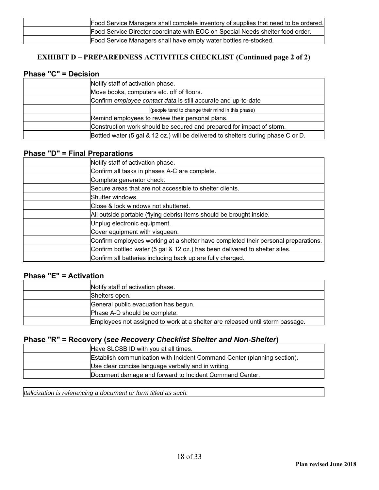| Food Service Managers shall complete inventory of supplies that need to be ordered. |
|-------------------------------------------------------------------------------------|
| Food Service Director coordinate with EOC on Special Needs shelter food order.      |
| Food Service Managers shall have empty water bottles re-stocked.                    |

#### **EXHIBIT D – PREPAREDNESS ACTIVITIES CHECKLIST (Continued page 2 of 2)**

#### **Phase "C" = Decision**

| Notify staff of activation phase.                                                 |  |  |
|-----------------------------------------------------------------------------------|--|--|
| Move books, computers etc. off of floors.                                         |  |  |
| Confirm employee contact data is still accurate and up-to-date                    |  |  |
| (people tend to change their mind in this phase)                                  |  |  |
| Remind employees to review their personal plans.                                  |  |  |
| Construction work should be secured and prepared for impact of storm.             |  |  |
| Bottled water (5 gal & 12 oz.) will be delivered to shelters during phase C or D. |  |  |

#### **Phase "D" = Final Preparations**

| Notify staff of activation phase.                                                  |
|------------------------------------------------------------------------------------|
| Confirm all tasks in phases A-C are complete.                                      |
| Complete generator check.                                                          |
| Secure areas that are not accessible to shelter clients.                           |
| Shutter windows.                                                                   |
| Close & lock windows not shuttered.                                                |
| All outside portable (flying debris) items should be brought inside.               |
| Unplug electronic equipment.                                                       |
| Cover equipment with visqueen.                                                     |
| Confirm employees working at a shelter have completed their personal preparations. |
| Confirm bottled water (5 gal & 12 oz.) has been delivered to shelter sites.        |
| Confirm all batteries including back up are fully charged.                         |

#### **Phase "E" = Activation**

| Notify staff of activation phase.                                             |
|-------------------------------------------------------------------------------|
| Shelters open.                                                                |
| General public evacuation has begun.                                          |
| IPhase A-D should be complete.                                                |
| Employees not assigned to work at a shelter are released until storm passage. |

#### **Phase "R" = Recovery (***see Recovery Checklist Shelter and Non-Shelter***)**

| Have SLCSB ID with you at all times.                                     |
|--------------------------------------------------------------------------|
| Establish communication with Incident Command Center (planning section). |
| Use clear concise language verbally and in writing.                      |
| Document damage and forward to Incident Command Center.                  |

*Italicization is referencing a document or form titled as such.*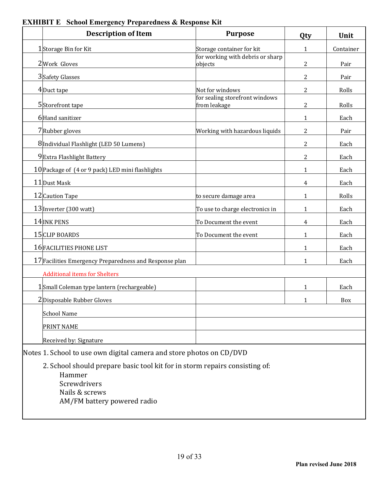| <b>Description of Item</b>                                                                                                                             | <b>Purpose</b>                                 | Qty            | Unit      |  |  |
|--------------------------------------------------------------------------------------------------------------------------------------------------------|------------------------------------------------|----------------|-----------|--|--|
| 1Storage Bin for Kit                                                                                                                                   | Storage container for kit                      | $\mathbf{1}$   | Container |  |  |
| 2Work Gloves                                                                                                                                           | for working with debris or sharp<br>objects    | 2              | Pair      |  |  |
| 3 Safety Glasses                                                                                                                                       |                                                | 2              | Pair      |  |  |
| 4Duct tape                                                                                                                                             | Not for windows                                | 2              | Rolls     |  |  |
| 5Storefront tape                                                                                                                                       | for sealing storefront windows<br>from leakage | $\overline{2}$ | Rolls     |  |  |
| 6Hand sanitizer                                                                                                                                        |                                                | $\mathbf{1}$   | Each      |  |  |
| 7Rubber gloves                                                                                                                                         | Working with hazardous liquids                 | 2              | Pair      |  |  |
| 8 Individual Flashlight (LED 50 Lumens)                                                                                                                |                                                | 2              | Each      |  |  |
| 9Extra Flashlight Battery                                                                                                                              |                                                | 2              | Each      |  |  |
| 10 Package of (4 or 9 pack) LED mini flashlights                                                                                                       |                                                | $\mathbf{1}$   | Each      |  |  |
| 11 Dust Mask                                                                                                                                           |                                                | 4              | Each      |  |  |
| 12 Caution Tape                                                                                                                                        | to secure damage area                          | 1              | Rolls     |  |  |
| 13 Inverter (300 watt)                                                                                                                                 | To use to charge electronics in                | $\mathbf{1}$   | Each      |  |  |
| 14 INK PENS                                                                                                                                            | To Document the event                          | $\overline{4}$ | Each      |  |  |
| 15 CLIP BOARDS                                                                                                                                         | To Document the event                          | $\mathbf{1}$   | Each      |  |  |
| 16 FACILITIES PHONE LIST                                                                                                                               |                                                | 1              | Each      |  |  |
| 17 Facilities Emergency Preparedness and Response plan                                                                                                 |                                                | 1              | Each      |  |  |
| <b>Additional items for Shelters</b>                                                                                                                   |                                                |                |           |  |  |
| 1Small Coleman type lantern (rechargeable)                                                                                                             |                                                | 1              | Each      |  |  |
| 2Disposable Rubber Gloves                                                                                                                              |                                                | $\mathbf{1}$   | Box       |  |  |
| <b>School Name</b>                                                                                                                                     |                                                |                |           |  |  |
| PRINT NAME                                                                                                                                             |                                                |                |           |  |  |
| Received by: Signature                                                                                                                                 |                                                |                |           |  |  |
| Notes 1. School to use own digital camera and store photos on CD/DVD                                                                                   |                                                |                |           |  |  |
| 2. School should prepare basic tool kit for in storm repairs consisting of:<br>Hammer<br>Screwdrivers<br>Nails & screws<br>AM/FM battery powered radio |                                                |                |           |  |  |

## **EXHIBIT E School Emergency Preparedness & Response Kit**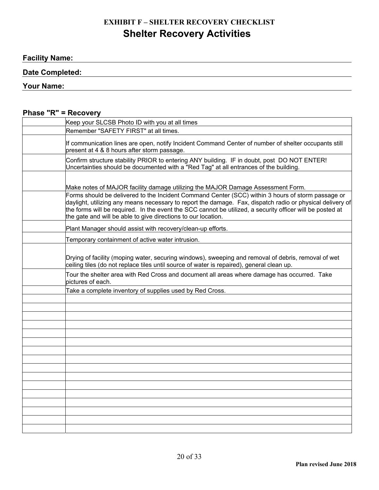## **EXHIBIT F – SHELTER RECOVERY CHECKLIST Shelter Recovery Activities**

<u> 1980 - Johann Barnett, fransk politik (f. 1980)</u>

#### **Facility Name:**

#### **Date Completed:**

#### **Your Name:**

#### **Phase "R" = Recovery**

| Keep your SLCSB Photo ID with you at all times                                                                                                                                                                                                                                                                                                                                               |
|----------------------------------------------------------------------------------------------------------------------------------------------------------------------------------------------------------------------------------------------------------------------------------------------------------------------------------------------------------------------------------------------|
| Remember "SAFETY FIRST" at all times.                                                                                                                                                                                                                                                                                                                                                        |
| If communication lines are open, notify Incident Command Center of number of shelter occupants still<br>present at 4 & 8 hours after storm passage.                                                                                                                                                                                                                                          |
| Confirm structure stability PRIOR to entering ANY building. IF in doubt, post DO NOT ENTER!<br>Uncertainties should be documented with a "Red Tag" at all entrances of the building.                                                                                                                                                                                                         |
|                                                                                                                                                                                                                                                                                                                                                                                              |
| Make notes of MAJOR facility damage utilizing the MAJOR Damage Assessment Form.                                                                                                                                                                                                                                                                                                              |
| Forms should be delivered to the Incident Command Center (SCC) within 3 hours of storm passage or<br>daylight, utilizing any means necessary to report the damage. Fax, dispatch radio or physical delivery of<br>the forms will be required. In the event the SCC cannot be utilized, a security officer will be posted at<br>the gate and will be able to give directions to our location. |
| Plant Manager should assist with recovery/clean-up efforts.                                                                                                                                                                                                                                                                                                                                  |
| Temporary containment of active water intrusion.                                                                                                                                                                                                                                                                                                                                             |
| Drying of facility (moping water, securing windows), sweeping and removal of debris, removal of wet<br>ceiling tiles (do not replace tiles until source of water is repaired), general clean up.                                                                                                                                                                                             |
| Tour the shelter area with Red Cross and document all areas where damage has occurred. Take<br>pictures of each.                                                                                                                                                                                                                                                                             |
| Take a complete inventory of supplies used by Red Cross.                                                                                                                                                                                                                                                                                                                                     |
|                                                                                                                                                                                                                                                                                                                                                                                              |
|                                                                                                                                                                                                                                                                                                                                                                                              |
|                                                                                                                                                                                                                                                                                                                                                                                              |
|                                                                                                                                                                                                                                                                                                                                                                                              |
|                                                                                                                                                                                                                                                                                                                                                                                              |
|                                                                                                                                                                                                                                                                                                                                                                                              |
|                                                                                                                                                                                                                                                                                                                                                                                              |
|                                                                                                                                                                                                                                                                                                                                                                                              |
|                                                                                                                                                                                                                                                                                                                                                                                              |
|                                                                                                                                                                                                                                                                                                                                                                                              |
|                                                                                                                                                                                                                                                                                                                                                                                              |
|                                                                                                                                                                                                                                                                                                                                                                                              |
|                                                                                                                                                                                                                                                                                                                                                                                              |
|                                                                                                                                                                                                                                                                                                                                                                                              |
|                                                                                                                                                                                                                                                                                                                                                                                              |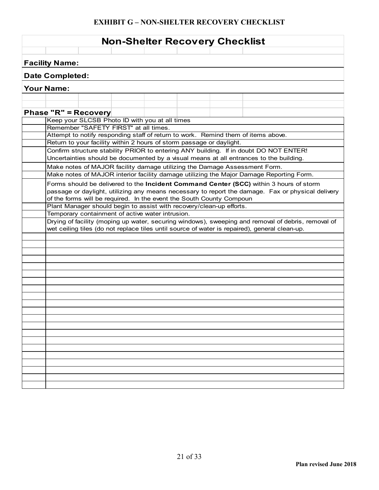#### **EXHIBIT G – NON-SHELTER RECOVERY CHECKLIST**

| <b>Non-Shelter Recovery Checklist</b> |                                       |  |                                                                                                                          |  |  |                                                                                                    |  |
|---------------------------------------|---------------------------------------|--|--------------------------------------------------------------------------------------------------------------------------|--|--|----------------------------------------------------------------------------------------------------|--|
| <b>Facility Name:</b>                 |                                       |  |                                                                                                                          |  |  |                                                                                                    |  |
| <b>Date Completed:</b>                |                                       |  |                                                                                                                          |  |  |                                                                                                    |  |
| <b>Your Name:</b>                     |                                       |  |                                                                                                                          |  |  |                                                                                                    |  |
|                                       |                                       |  |                                                                                                                          |  |  |                                                                                                    |  |
| <b>Phase "R" = Recovery</b>           |                                       |  |                                                                                                                          |  |  |                                                                                                    |  |
|                                       |                                       |  | Keep your SLCSB Photo ID with you at all times                                                                           |  |  |                                                                                                    |  |
|                                       | Remember "SAFETY FIRST" at all times. |  |                                                                                                                          |  |  |                                                                                                    |  |
|                                       |                                       |  |                                                                                                                          |  |  | Attempt to notify responding staff of return to work. Remind them of items above.                  |  |
|                                       |                                       |  | Return to your facility within 2 hours of storm passage or daylight.                                                     |  |  |                                                                                                    |  |
|                                       |                                       |  |                                                                                                                          |  |  | Confirm structure stability PRIOR to entering ANY building. If in doubt DO NOT ENTER!              |  |
|                                       |                                       |  |                                                                                                                          |  |  | Uncertainties should be documented by a visual means at all entrances to the building.             |  |
|                                       |                                       |  |                                                                                                                          |  |  | Make notes of MAJOR facility damage utilizing the Damage Assessment Form.                          |  |
|                                       |                                       |  |                                                                                                                          |  |  | Make notes of MAJOR interior facility damage utilizing the Major Damage Reporting Form.            |  |
|                                       |                                       |  |                                                                                                                          |  |  | Forms should be delivered to the Incident Command Center (SCC) within 3 hours of storm             |  |
|                                       |                                       |  |                                                                                                                          |  |  | passage or daylight, utilizing any means necessary to report the damage. Fax or physical delivery  |  |
|                                       |                                       |  | of the forms will be required. In the event the South County Compoun                                                     |  |  |                                                                                                    |  |
|                                       |                                       |  | Plant Manager should begin to assist with recovery/clean-up efforts.<br>Temporary containment of active water intrusion. |  |  |                                                                                                    |  |
|                                       |                                       |  |                                                                                                                          |  |  | Drying of facility (moping up water, securing windows), sweeping and removal of debris, removal of |  |
|                                       |                                       |  |                                                                                                                          |  |  | wet ceiling tiles (do not replace tiles until source of water is repaired), general clean-up.      |  |
|                                       |                                       |  |                                                                                                                          |  |  |                                                                                                    |  |
|                                       |                                       |  |                                                                                                                          |  |  |                                                                                                    |  |
|                                       |                                       |  |                                                                                                                          |  |  |                                                                                                    |  |
|                                       |                                       |  |                                                                                                                          |  |  |                                                                                                    |  |
|                                       |                                       |  |                                                                                                                          |  |  |                                                                                                    |  |
|                                       |                                       |  |                                                                                                                          |  |  |                                                                                                    |  |
|                                       |                                       |  |                                                                                                                          |  |  |                                                                                                    |  |
|                                       |                                       |  |                                                                                                                          |  |  |                                                                                                    |  |
|                                       |                                       |  |                                                                                                                          |  |  |                                                                                                    |  |
|                                       |                                       |  |                                                                                                                          |  |  |                                                                                                    |  |
|                                       |                                       |  |                                                                                                                          |  |  |                                                                                                    |  |
|                                       |                                       |  |                                                                                                                          |  |  |                                                                                                    |  |
|                                       |                                       |  |                                                                                                                          |  |  |                                                                                                    |  |
|                                       |                                       |  |                                                                                                                          |  |  |                                                                                                    |  |
|                                       |                                       |  |                                                                                                                          |  |  |                                                                                                    |  |
|                                       |                                       |  |                                                                                                                          |  |  |                                                                                                    |  |
|                                       |                                       |  |                                                                                                                          |  |  |                                                                                                    |  |
|                                       |                                       |  |                                                                                                                          |  |  |                                                                                                    |  |
|                                       |                                       |  |                                                                                                                          |  |  |                                                                                                    |  |
|                                       |                                       |  |                                                                                                                          |  |  |                                                                                                    |  |
|                                       |                                       |  |                                                                                                                          |  |  |                                                                                                    |  |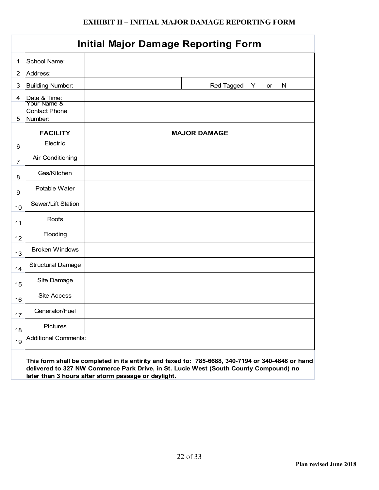#### **EXHIBIT H – INITIAL MAJOR DAMAGE REPORTING FORM**

|                |                                 | <b>Initial Major Damage Reporting Form</b>                                                        |
|----------------|---------------------------------|---------------------------------------------------------------------------------------------------|
| 1              | School Name:                    |                                                                                                   |
| $\overline{2}$ | Address:                        |                                                                                                   |
| 3              | <b>Building Number:</b>         | Red Tagged<br>N<br>Y.<br>or                                                                       |
| 4              | Date & Time:<br>Your Name &     |                                                                                                   |
| 5              | <b>Contact Phone</b><br>Number: |                                                                                                   |
|                | <b>FACILITY</b>                 | <b>MAJOR DAMAGE</b>                                                                               |
| 6              | Electric                        |                                                                                                   |
| $\overline{7}$ | Air Conditioning                |                                                                                                   |
| 8              | Gas/Kitchen                     |                                                                                                   |
| 9              | Potable Water                   |                                                                                                   |
| 10             | Sewer/Lift Station              |                                                                                                   |
| 11             | Roofs                           |                                                                                                   |
| 12             | Flooding                        |                                                                                                   |
| 13             | <b>Broken Windows</b>           |                                                                                                   |
| 14             | <b>Structural Damage</b>        |                                                                                                   |
| 15             | Site Damage                     |                                                                                                   |
| 16             | Site Access                     |                                                                                                   |
| 17             | Generator/Fuel                  |                                                                                                   |
| 18             | <b>Pictures</b>                 |                                                                                                   |
| 19             | <b>Additional Comments:</b>     |                                                                                                   |
|                |                                 | This form shall be completed in its entirity and faxed to: 785-6688, 340-7194 or 340-4848 or hand |

**delivered to 327 NW Commerce Park Drive, in St. Lucie West (South County Compound) no later than 3 hours after storm passage or daylight.**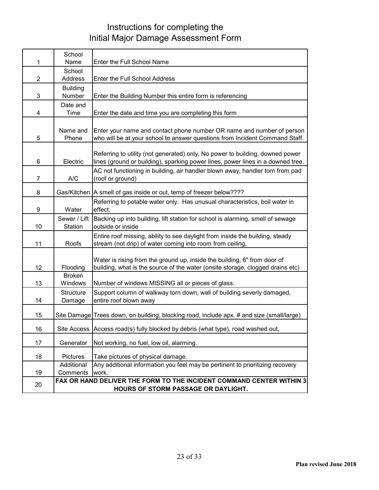## Instructions for completing the Initial Major Damage Assessment Form

|                | School                     |                                                                                                                                                                  |
|----------------|----------------------------|------------------------------------------------------------------------------------------------------------------------------------------------------------------|
| 1              | Name                       | Enter the Full School Name                                                                                                                                       |
| $\overline{2}$ | School<br>Address          | Enter the Full School Address                                                                                                                                    |
|                | <b>Building</b>            |                                                                                                                                                                  |
| 3              | Number                     | Enter the Building Number this entire form is referencing                                                                                                        |
|                | Date and                   |                                                                                                                                                                  |
| 4              | Time                       | Enter the date and time you are completing this form                                                                                                             |
| 5              | Name and<br>Phone          | Enter your name and contact phone number OR name and number of person<br>who will be at your school to answer questions from Incident Command Staff.             |
| 6              | Electric                   | Referring to utility (not generated) only, No power to building, downed power<br>lines (ground or building), sparking power lines, power lines in a downed tree. |
| $\overline{7}$ | A/C                        | AC not functioning in building, air handler blown away, handler torn from pad<br>(roof or ground)                                                                |
| 8              |                            | Gas/Kitchen   A smell of gas inside or out, temp of freezer below????                                                                                            |
| 9              | Water                      | Referring to potable water only. Has unusual characteristics, boil water in<br>effect,                                                                           |
| 10             | Sewer / Lift<br>Station    | Backing up into building, lift station for school is alarming, smell of sewage<br>outside or inside                                                              |
| 11             | Roofs                      | Entire roof missing, ability to see daylight from inside the building, steady<br>stream (not drip) of water coming into room from ceiling,                       |
| 12             | Flooding                   | Water is rising from the ground up, inside the building, 6" from door of<br>building, what is the source of the water (onsite storage, clogged drains etc)       |
| 13             | <b>Broken</b><br>Windows   | Number of windows MISSING all or pieces of glass.                                                                                                                |
| 14             | <b>Structure</b><br>Damage | Support column of walkway torn down, wall of building severly damaged,<br>entire roof blown away                                                                 |
| 15             |                            | Site Damage Trees down, on building, blocking road, include apx. # and size (small/large)                                                                        |
| 16             |                            | Site Access Access road(s) fully blocked by debris (what type), road washed out,                                                                                 |
| 17             | Generator                  | Not working, no fuel, low oil, alarming.                                                                                                                         |
| 18             | Pictures                   | Take pictures of physical damage.                                                                                                                                |
|                | Additional                 | Any additional information you feel may be pertinent to prioritizing recovery                                                                                    |
| 19             | Comments                   | work.                                                                                                                                                            |
| 20             |                            | FAX OR HAND DELIVER THE FORM TO THE INCIDENT COMMAND CENTER WITHIN 3<br>HOURS OF STORM PASSAGE OR DAYLIGHT.                                                      |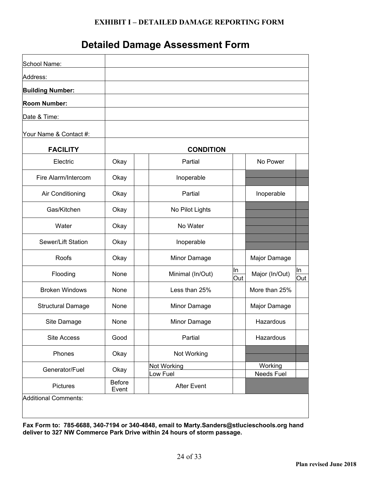#### **EXHIBIT I – DETAILED DAMAGE REPORTING FORM**

## **Detailed Damage Assessment Form**

| School Name:             |                 |                                |           |                       |           |
|--------------------------|-----------------|--------------------------------|-----------|-----------------------|-----------|
| Address:                 |                 |                                |           |                       |           |
| <b>Building Number:</b>  |                 |                                |           |                       |           |
| <b>Room Number:</b>      |                 |                                |           |                       |           |
| Date & Time:             |                 |                                |           |                       |           |
| Your Name & Contact #:   |                 |                                |           |                       |           |
| <b>FACILITY</b>          |                 | <b>CONDITION</b>               |           |                       |           |
| Electric                 | Okay            | Partial                        |           | No Power              |           |
| Fire Alarm/Intercom      | Okay            | Inoperable                     |           |                       |           |
| Air Conditioning         | Okay            | Partial                        |           | Inoperable            |           |
| Gas/Kitchen              | Okay            | No Pilot Lights                |           |                       |           |
| Water                    | Okay            | No Water                       |           |                       |           |
| Sewer/Lift Station       | Okay            | Inoperable                     |           |                       |           |
| Roofs                    | Okay            | Minor Damage                   |           | Major Damage          |           |
| Flooding                 | None            | Minimal (In/Out)               | In<br>Out | Major (In/Out)        | In<br>Out |
| <b>Broken Windows</b>    | None            | Less than 25%                  |           | More than 25%         |           |
| <b>Structural Damage</b> | None            | Minor Damage                   |           | Major Damage          |           |
| Site Damage              | None            | Minor Damage                   |           | Hazardous             |           |
| Site Access              | Good            | Partial                        |           | Hazardous             |           |
| Phones                   | Okay            | Not Working                    |           |                       |           |
| Generator/Fuel           | Okay            | Not Working                    |           | Working<br>Needs Fuel |           |
| <b>Pictures</b>          | Before<br>Event | Low Fuel<br><b>After Event</b> |           |                       |           |

**Fax Form to: 785-6688, 340-7194 or 340-4848, email to Marty.Sanders@stlucieschools.org hand deliver to 327 NW Commerce Park Drive within 24 hours of storm passage.**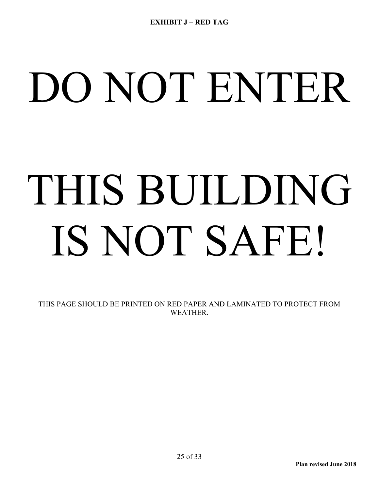# DO NOT ENTER

# THIS BUILDING IS NOT SAFE!

THIS PAGE SHOULD BE PRINTED ON RED PAPER AND LAMINATED TO PROTECT FROM WEATHER.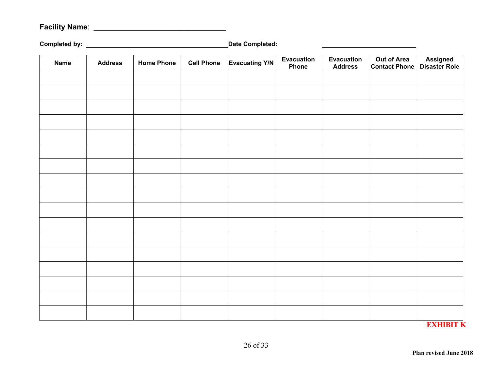## **Facility Name**: \_\_\_\_\_\_\_\_\_\_\_\_\_\_\_\_\_\_\_\_\_\_\_\_\_\_\_\_\_\_\_\_

**Completed by: Date Completed:** 

| <b>Name</b> | <b>Address</b> | <b>Home Phone</b> | <b>Cell Phone</b> | <b>Evacuating Y/N</b> | <b>Evacuation</b><br>Phone | <b>Evacuation</b><br><b>Address</b> | <b>Out of Area</b><br><b>Contact Phone</b> | Assigned<br>Disaster Role |
|-------------|----------------|-------------------|-------------------|-----------------------|----------------------------|-------------------------------------|--------------------------------------------|---------------------------|
|             |                |                   |                   |                       |                            |                                     |                                            |                           |
|             |                |                   |                   |                       |                            |                                     |                                            |                           |
|             |                |                   |                   |                       |                            |                                     |                                            |                           |
|             |                |                   |                   |                       |                            |                                     |                                            |                           |
|             |                |                   |                   |                       |                            |                                     |                                            |                           |
|             |                |                   |                   |                       |                            |                                     |                                            |                           |
|             |                |                   |                   |                       |                            |                                     |                                            |                           |
|             |                |                   |                   |                       |                            |                                     |                                            |                           |
|             |                |                   |                   |                       |                            |                                     |                                            |                           |
|             |                |                   |                   |                       |                            |                                     |                                            |                           |
|             |                |                   |                   |                       |                            |                                     |                                            |                           |
|             |                |                   |                   |                       |                            |                                     |                                            |                           |
|             |                |                   |                   |                       |                            |                                     |                                            |                           |
|             |                |                   |                   |                       |                            |                                     |                                            |                           |
|             |                |                   |                   |                       |                            |                                     |                                            |                           |
|             |                |                   |                   |                       |                            |                                     |                                            |                           |
|             |                |                   |                   |                       |                            |                                     |                                            |                           |

**EXHIBIT K**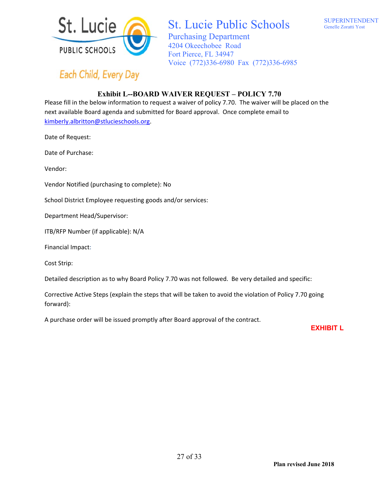

Each Child, Every Day

## St. Lucie Public Schools

Purchasing Department 4204 Okeechobee Road Fort Pierce, FL 34947 Voice (772)336-6980 Fax (772)336-6985

#### **Exhibit L--BOARD WAIVER REQUEST – POLICY 7.70**

Please fill in the below information to request a waiver of policy 7.70. The waiver will be placed on the next available Board agenda and submitted for Board approval. Once complete email to kimberly.albritton@stlucieschools.org.

Date of Request:

Date of Purchase:

Vendor:

Vendor Notified (purchasing to complete): No

School District Employee requesting goods and/or services:

Department Head/Supervisor:

ITB/RFP Number (if applicable): N/A

Financial Impact:

Cost Strip:

Detailed description as to why Board Policy 7.70 was not followed. Be very detailed and specific:

Corrective Active Steps (explain the steps that will be taken to avoid the violation of Policy 7.70 going forward):

A purchase order will be issued promptly after Board approval of the contract. 

 **EXHIBIT L**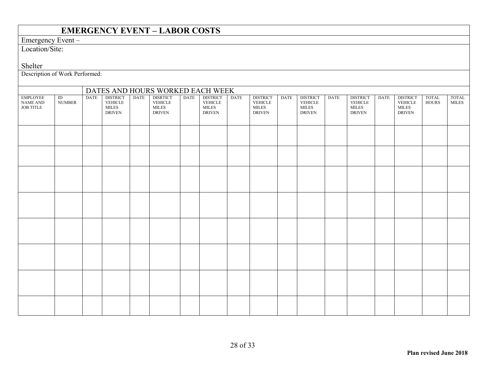#### **EMERGENCY EVENT – LABOR COSTS**

#### Emergency Event –

Location/Site:

Shelter

Description of Work Performed:

|                                                                  |                                  |             |                                                             |      | DATES AND HOURS WORKED EACH WEEK                                  |             |                                                                    |             |                                                             |             |                                                                     |             |                                                                   |             |                                                                    |                              |                              |
|------------------------------------------------------------------|----------------------------------|-------------|-------------------------------------------------------------|------|-------------------------------------------------------------------|-------------|--------------------------------------------------------------------|-------------|-------------------------------------------------------------|-------------|---------------------------------------------------------------------|-------------|-------------------------------------------------------------------|-------------|--------------------------------------------------------------------|------------------------------|------------------------------|
| <b>EMPLOYEE</b><br>$\operatorname{NAME}$ AND<br><b>JOB TITLE</b> | $\overline{ID}$<br><b>NUMBER</b> | <b>DATE</b> | <b>DISTRICT</b><br>VEHICLE<br><b>MILES</b><br><b>DRIVEN</b> | DATE | <b>DISRTICT</b><br>$\rm VEHICLE$<br><b>MILES</b><br><b>DRIVEN</b> | <b>DATE</b> | <b>DISTRICT</b><br><b>VEHICLE</b><br><b>MILES</b><br><b>DRIVEN</b> | <b>DATE</b> | <b>DISTRICT</b><br>VEHICLE<br><b>MILES</b><br><b>DRIVEN</b> | <b>DATE</b> | <b>DISTRICT</b><br>${\it VEHICLE}$<br><b>MILES</b><br><b>DRIVEN</b> | <b>DATE</b> | <b>DISTRICT</b><br>$\rm VEHICLE$<br><b>MILES</b><br><b>DRIVEN</b> | <b>DATE</b> | <b>DISTRICT</b><br><b>VEHICLE</b><br><b>MILES</b><br><b>DRIVEN</b> | <b>TOTAL</b><br><b>HOURS</b> | <b>TOTAL</b><br><b>MILES</b> |
|                                                                  |                                  |             |                                                             |      |                                                                   |             |                                                                    |             |                                                             |             |                                                                     |             |                                                                   |             |                                                                    |                              |                              |
|                                                                  |                                  |             |                                                             |      |                                                                   |             |                                                                    |             |                                                             |             |                                                                     |             |                                                                   |             |                                                                    |                              |                              |
|                                                                  |                                  |             |                                                             |      |                                                                   |             |                                                                    |             |                                                             |             |                                                                     |             |                                                                   |             |                                                                    |                              |                              |
|                                                                  |                                  |             |                                                             |      |                                                                   |             |                                                                    |             |                                                             |             |                                                                     |             |                                                                   |             |                                                                    |                              |                              |
|                                                                  |                                  |             |                                                             |      |                                                                   |             |                                                                    |             |                                                             |             |                                                                     |             |                                                                   |             |                                                                    |                              |                              |
|                                                                  |                                  |             |                                                             |      |                                                                   |             |                                                                    |             |                                                             |             |                                                                     |             |                                                                   |             |                                                                    |                              |                              |
|                                                                  |                                  |             |                                                             |      |                                                                   |             |                                                                    |             |                                                             |             |                                                                     |             |                                                                   |             |                                                                    |                              |                              |
|                                                                  |                                  |             |                                                             |      |                                                                   |             |                                                                    |             |                                                             |             |                                                                     |             |                                                                   |             |                                                                    |                              |                              |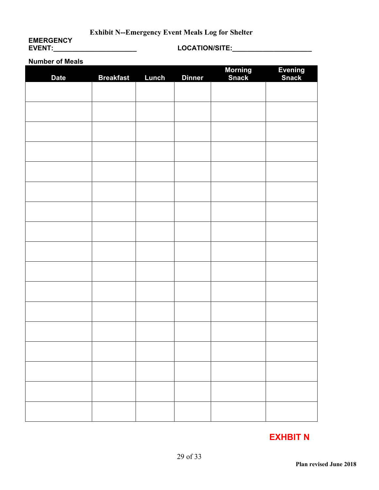### **Exhibit N--Emergency Event Meals Log for Shelter**

## **EMERGENCY**<br>EVENT:\_\_\_\_\_\_\_\_\_\_\_\_\_\_\_\_\_\_\_\_\_\_\_\_

#### **EVENT:\_\_\_\_\_\_\_\_\_\_\_\_\_\_\_\_\_\_\_\_\_\_ LOCATION/SITE:\_\_\_\_\_\_\_\_\_\_\_\_\_\_\_\_\_\_\_\_\_**

#### **Number of Meals**

| <b>Date</b> | <b>Breakfast</b> | Lunch | <b>Dinner</b> | <b>Morning</b><br>Snack | Evening<br>Snack |
|-------------|------------------|-------|---------------|-------------------------|------------------|
|             |                  |       |               |                         |                  |
|             |                  |       |               |                         |                  |
|             |                  |       |               |                         |                  |
|             |                  |       |               |                         |                  |
|             |                  |       |               |                         |                  |
|             |                  |       |               |                         |                  |
|             |                  |       |               |                         |                  |
|             |                  |       |               |                         |                  |
|             |                  |       |               |                         |                  |
|             |                  |       |               |                         |                  |
|             |                  |       |               |                         |                  |
|             |                  |       |               |                         |                  |
|             |                  |       |               |                         |                  |
|             |                  |       |               |                         |                  |
|             |                  |       |               |                         |                  |
|             |                  |       |               |                         |                  |
|             |                  |       |               |                         |                  |
|             |                  |       |               |                         |                  |

## **EXHBIT N**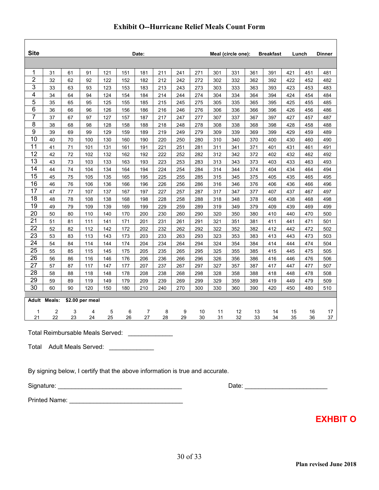| <b>Site</b>    |        |    |                 |     |     | Date: |     |     |     |     | Meal (circle one): |     | <b>Breakfast</b> |     | Lunch | <b>Dinner</b> |
|----------------|--------|----|-----------------|-----|-----|-------|-----|-----|-----|-----|--------------------|-----|------------------|-----|-------|---------------|
|                |        |    |                 |     |     |       |     |     |     |     |                    |     |                  |     |       |               |
| 1              | 31     | 61 | 91              | 121 | 151 | 181   | 211 | 241 | 271 | 301 | 331                | 361 | 391              | 421 | 451   | 481           |
| $\overline{2}$ | 32     | 62 | 92              | 122 | 152 | 182   | 212 | 242 | 272 | 302 | 332                | 362 | 392              | 422 | 452   | 482           |
| 3              | 33     | 63 | 93              | 123 | 153 | 183   | 213 | 243 | 273 | 303 | 333                | 363 | 393              | 423 | 453   | 483           |
| 4              | 34     | 64 | 94              | 124 | 154 | 184   | 214 | 244 | 274 | 304 | 334                | 364 | 394              | 424 | 454   | 484           |
| 5              | 35     | 65 | 95              | 125 | 155 | 185   | 215 | 245 | 275 | 305 | 335                | 365 | 395              | 425 | 455   | 485           |
| 6              | 36     | 66 | 96              | 126 | 156 | 186   | 216 | 246 | 276 | 306 | 336                | 366 | 396              | 426 | 456   | 486           |
| $\overline{7}$ | 37     | 67 | 97              | 127 | 157 | 187   | 217 | 247 | 277 | 307 | 337                | 367 | 397              | 427 | 457   | 487           |
| 8              | 38     | 68 | 98              | 128 | 158 | 188   | 218 | 248 | 278 | 308 | 338                | 368 | 398              | 428 | 458   | 488           |
| 9              | 39     | 69 | 99              | 129 | 159 | 189   | 219 | 249 | 279 | 309 | 339                | 369 | 399              | 429 | 459   | 489           |
| 10             | 40     | 70 | 100             | 130 | 160 | 190   | 220 | 250 | 280 | 310 | 340                | 370 | 400              | 430 | 460   | 490           |
| 11             | 41     | 71 | 101             | 131 | 161 | 191   | 221 | 251 | 281 | 311 | 341                | 371 | 401              | 431 | 461   | 491           |
| 12             | 42     | 72 | 102             | 132 | 162 | 192   | 222 | 252 | 282 | 312 | 342                | 372 | 402              | 432 | 462   | 492           |
| 13             | 43     | 73 | 103             | 133 | 163 | 193   | 223 | 253 | 283 | 313 | 343                | 373 | 403              | 433 | 463   | 493           |
| 14             | 44     | 74 | 104             | 134 | 164 | 194   | 224 | 254 | 284 | 314 | 344                | 374 | 404              | 434 | 464   | 494           |
| 15             | 45     | 75 | 105             | 135 | 165 | 195   | 225 | 255 | 285 | 315 | 345                | 375 | 405              | 435 | 465   | 495           |
| 16             | 46     | 76 | 106             | 136 | 166 | 196   | 226 | 256 | 286 | 316 | 346                | 376 | 406              | 436 | 466   | 496           |
| 17             | 47     | 77 | 107             | 137 | 167 | 197   | 227 | 257 | 287 | 317 | 347                | 377 | 407              | 437 | 467   | 497           |
| 18             | 48     | 78 | 108             | 138 | 168 | 198   | 228 | 258 | 288 | 318 | 348                | 378 | 408              | 438 | 468   | 498           |
| 19             | 49     | 79 | 109             | 139 | 169 | 199   | 229 | 259 | 289 | 319 | 349                | 379 | 409              | 439 | 469   | 499           |
| 20             | 50     | 80 | 110             | 140 | 170 | 200   | 230 | 260 | 290 | 320 | 350                | 380 | 410              | 440 | 470   | 500           |
| 21             | 51     | 81 | 111             | 141 | 171 | 201   | 231 | 261 | 291 | 321 | 351                | 381 | 411              | 441 | 471   | 501           |
| 22             | 52     | 82 | 112             | 142 | 172 | 202   | 232 | 262 | 292 | 322 | 352                | 382 | 412              | 442 | 472   | 502           |
| 23             | 53     | 83 | 113             | 143 | 173 | 203   | 233 | 263 | 293 | 323 | 353                | 383 | 413              | 443 | 473   | 503           |
| 24             | 54     | 84 | 114             | 144 | 174 | 204   | 234 | 264 | 294 | 324 | 354                | 384 | 414              | 444 | 474   | 504           |
| 25             | 55     | 85 | 115             | 145 | 175 | 205   | 235 | 265 | 295 | 325 | 355                | 385 | 415              | 445 | 475   | 505           |
| 26             | 56     | 86 | 116             | 146 | 176 | 206   | 236 | 266 | 296 | 326 | 356                | 386 | 416              | 446 | 476   | 506           |
| 27             | 57     | 87 | 117             | 147 | 177 | 207   | 237 | 267 | 297 | 327 | 357                | 387 | 417              | 447 | 477   | 507           |
| 28             | 58     | 88 | 118             | 148 | 178 | 208   | 238 | 268 | 298 | 328 | 358                | 388 | 418              | 448 | 478   | 508           |
| 29             | 59     | 89 | 119             | 149 | 179 | 209   | 239 | 269 | 299 | 329 | 359                | 389 | 419              | 449 | 479   | 509           |
| 30             | 60     | 90 | 120             | 150 | 180 | 210   | 240 | 270 | 300 | 330 | 360                | 390 | 420              | 450 | 480   | 510           |
|                |        |    |                 |     |     |       |     |     |     |     |                    |     |                  |     |       |               |
| Adult          | Meals: |    | \$2.00 per meal |     |     |       |     |     |     |     |                    |     |                  |     |       |               |
| $\mathbf{1}$   | 2      | 3  | 4               | 5   | 6   | 7     | 8   | 9   | 10  | 11  | 12                 | 13  | 14               | 15  | 16    | 17            |
| 21             | 22     | 23 | 24              | 25  | 26  | 27    | 28  | 29  | 30  | 31  | 32                 | 33  | 34               | 35  | 36    | 37            |
|                |        |    |                 |     |     |       |     |     |     |     |                    |     |                  |     |       |               |

Total Reimbursable Meals Served: \_\_\_\_\_\_\_\_\_\_\_\_\_

Total Adult Meals Served: \_\_\_\_\_\_\_\_\_\_\_\_\_

By signing below, I certify that the above information is true and accurate.

Signature: \_\_\_\_\_\_\_\_\_\_\_\_\_\_\_\_\_\_\_\_\_\_\_\_\_\_\_\_\_\_\_\_\_\_\_\_ Date: \_\_\_\_\_\_\_\_\_\_\_\_\_\_\_\_\_\_\_\_\_\_\_\_

Printed Name: \_\_\_\_\_\_\_\_\_\_\_\_\_\_\_\_\_\_\_\_\_\_\_\_\_\_\_\_\_\_\_\_\_

**EXHBIT O**

 $\overline{\mathbf{1}}$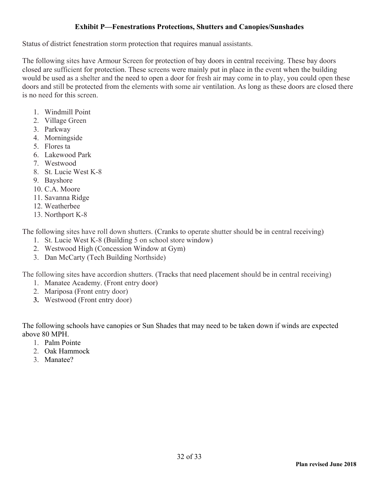#### **Exhibit P—Fenestrations Protections, Shutters and Canopies/Sunshades**

Status of district fenestration storm protection that requires manual assistants.

The following sites have Armour Screen for protection of bay doors in central receiving. These bay doors closed are sufficient for protection. These screens were mainly put in place in the event when the building would be used as a shelter and the need to open a door for fresh air may come in to play, you could open these doors and still be protected from the elements with some air ventilation. As long as these doors are closed there is no need for this screen.

- 1. Windmill Point
- 2. Village Green
- 3. Parkway
- 4. Morningside
- 5. Flores ta
- 6. Lakewood Park
- 7. Westwood
- 8. St. Lucie West K-8
- 9. Bayshore
- 10. C.A. Moore
- 11. Savanna Ridge
- 12. Weatherbee
- 13. Northport K-8

The following sites have roll down shutters. (Cranks to operate shutter should be in central receiving)

- 1. St. Lucie West K-8 (Building 5 on school store window)
- 2. Westwood High (Concession Window at Gym)
- 3. Dan McCarty (Tech Building Northside)

The following sites have accordion shutters. (Tracks that need placement should be in central receiving)

- 1. Manatee Academy. (Front entry door)
- 2. Mariposa (Front entry door)
- **3.** Westwood (Front entry door)

The following schools have canopies or Sun Shades that may need to be taken down if winds are expected above 80 MPH.

- 1. Palm Pointe
- 2. Oak Hammock
- 3. Manatee?